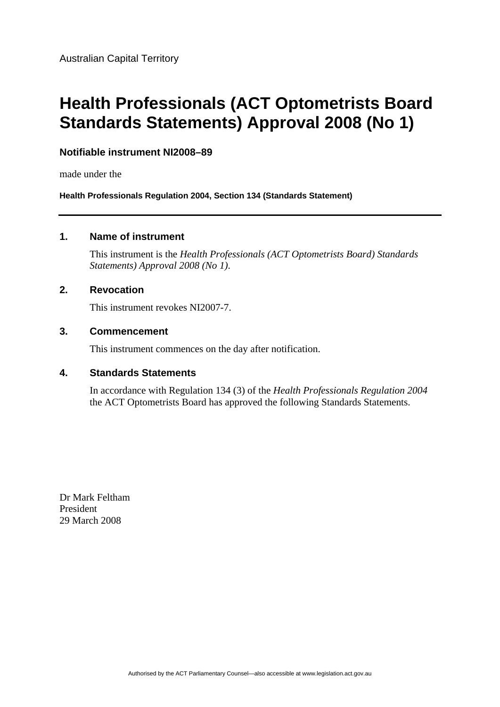# **Health Professionals (ACT Optometrists Board Standards Statements) Approval 2008 (No 1)**

#### **Notifiable instrument NI2008–89**

made under the

**Health Professionals Regulation 2004, Section 134 (Standards Statement)** 

#### **1. Name of instrument**

This instrument is the *Health Professionals (ACT Optometrists Board) Standards Statements) Approval 2008 (No 1)*.

#### **2. Revocation**

This instrument revokes NI2007-7.

#### **3. Commencement**

This instrument commences on the day after notification.

#### **4. Standards Statements**

In accordance with Regulation 134 (3) of the *Health Professionals Regulation 2004* the ACT Optometrists Board has approved the following Standards Statements.

Dr Mark Feltham President 29 March 2008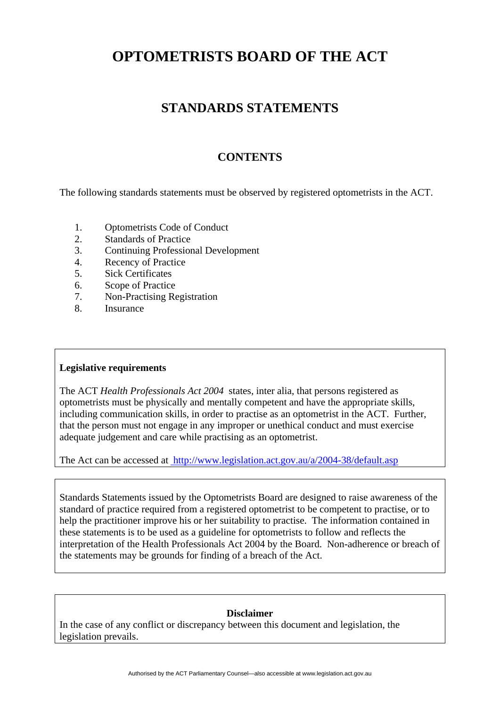## **STANDARDS STATEMENTS**

## **CONTENTS**

The following standards statements must be observed by registered optometrists in the ACT.

- 1. Optometrists Code of Conduct
- 2. Standards of Practice
- 3. Continuing Professional Development
- 4. Recency of Practice
- 5. Sick Certificates
- 6. Scope of Practice
- 7. Non-Practising Registration
- 8. Insurance

#### **Legislative requirements**

The ACT *Health Professionals Act 2004* states, inter alia, that persons registered as optometrists must be physically and mentally competent and have the appropriate skills, including communication skills, in order to practise as an optometrist in the ACT. Further, that the person must not engage in any improper or unethical conduct and must exercise adequate judgement and care while practising as an optometrist.

The Act can be accessed at [http://www.legislation.act.gov.au/a/2004-38/default.asp](http://www.legislation.act.gov.au/a/1965-3/default.asp)

Standards Statements issued by the Optometrists Board are designed to raise awareness of the standard of practice required from a registered optometrist to be competent to practise, or to help the practitioner improve his or her suitability to practise. The information contained in these statements is to be used as a guideline for optometrists to follow and reflects the interpretation of the Health Professionals Act 2004 by the Board. Non-adherence or breach of the statements may be grounds for finding of a breach of the Act.

#### **Disclaimer**

In the case of any conflict or discrepancy between this document and legislation, the legislation prevails.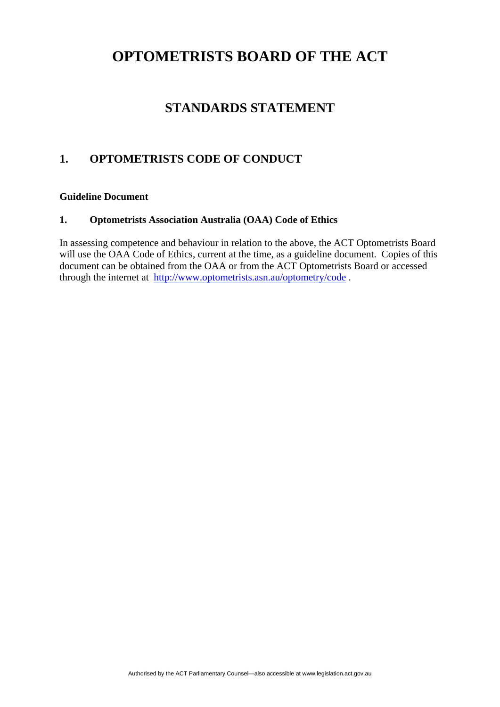## **STANDARDS STATEMENT**

### **1. OPTOMETRISTS CODE OF CONDUCT**

#### **Guideline Document**

#### **1. Optometrists Association Australia (OAA) Code of Ethics**

In assessing competence and behaviour in relation to the above, the ACT Optometrists Board will use the OAA Code of Ethics, current at the time, as a guideline document. Copies of this document can be obtained from the OAA or from the ACT Optometrists Board or accessed through the internet at <http://www.optometrists.asn.au/optometry/code> .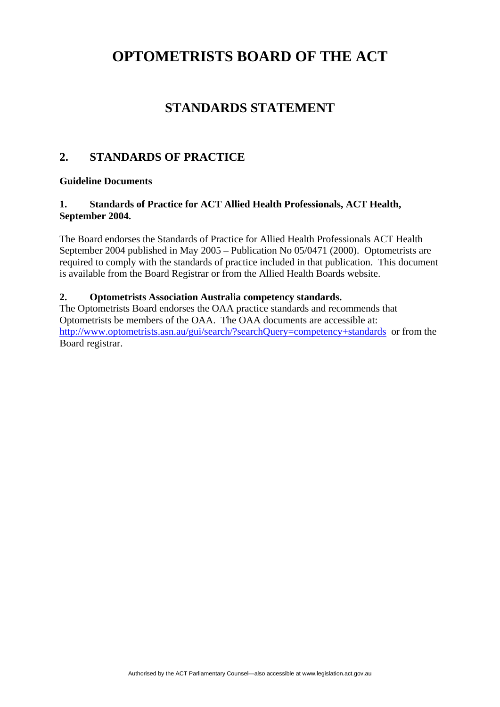## **STANDARDS STATEMENT**

### **2. STANDARDS OF PRACTICE**

#### **Guideline Documents**

#### **1. Standards of Practice for ACT Allied Health Professionals, ACT Health, September 2004.**

The Board endorses the Standards of Practice for Allied Health Professionals ACT Health September 2004 published in May 2005 – Publication No 05/0471 (2000). Optometrists are required to comply with the standards of practice included in that publication. This document is available from the Board Registrar or from the Allied Health Boards website.

#### **2. Optometrists Association Australia competency standards.**

The Optometrists Board endorses the OAA practice standards and recommends that Optometrists be members of the OAA. The OAA documents are accessible at: <http://www.optometrists.asn.au/gui/search/?searchQuery=competency+standards> or from the Board registrar.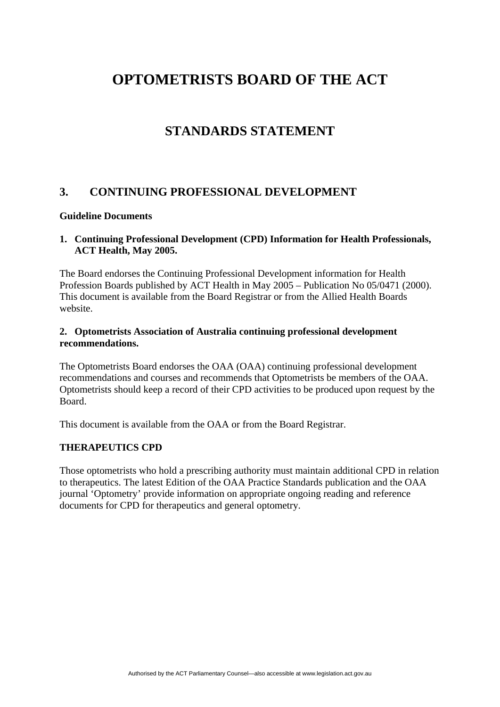## **STANDARDS STATEMENT**

### **3. CONTINUING PROFESSIONAL DEVELOPMENT**

#### **Guideline Documents**

#### **1. Continuing Professional Development (CPD) Information for Health Professionals, ACT Health, May 2005.**

The Board endorses the Continuing Professional Development information for Health Profession Boards published by ACT Health in May 2005 – Publication No 05/0471 (2000). This document is available from the Board Registrar or from the Allied Health Boards website.

#### **2. Optometrists Association of Australia continuing professional development recommendations.**

The Optometrists Board endorses the OAA (OAA) continuing professional development recommendations and courses and recommends that Optometrists be members of the OAA. Optometrists should keep a record of their CPD activities to be produced upon request by the Board.

This document is available from the OAA or from the Board Registrar.

#### **THERAPEUTICS CPD**

Those optometrists who hold a prescribing authority must maintain additional CPD in relation to therapeutics. The latest Edition of the OAA Practice Standards publication and the OAA journal 'Optometry' provide information on appropriate ongoing reading and reference documents for CPD for therapeutics and general optometry.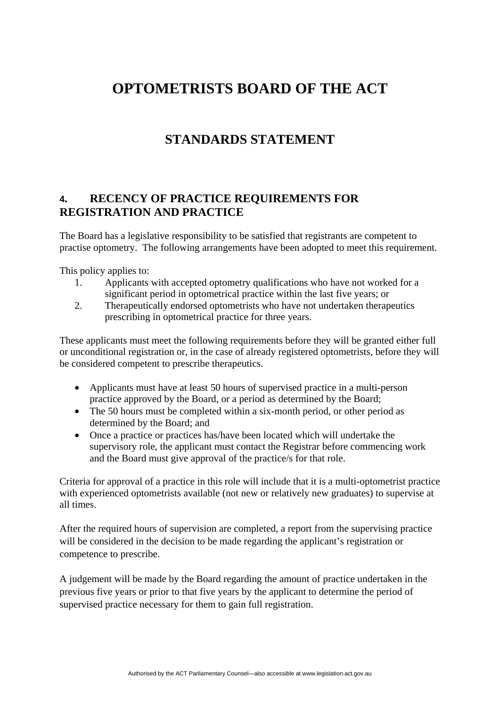## **STANDARDS STATEMENT**

### **4. RECENCY OF PRACTICE REQUIREMENTS FOR REGISTRATION AND PRACTICE**

The Board has a legislative responsibility to be satisfied that registrants are competent to practise optometry. The following arrangements have been adopted to meet this requirement.

This policy applies to:

- 1. Applicants with accepted optometry qualifications who have not worked for a significant period in optometrical practice within the last five years; or
- 2. Therapeutically endorsed optometrists who have not undertaken therapeutics prescribing in optometrical practice for three years.

These applicants must meet the following requirements before they will be granted either full or unconditional registration or, in the case of already registered optometrists, before they will be considered competent to prescribe therapeutics.

- Applicants must have at least 50 hours of supervised practice in a multi-person practice approved by the Board, or a period as determined by the Board;
- The 50 hours must be completed within a six-month period, or other period as determined by the Board; and
- Once a practice or practices has/have been located which will undertake the supervisory role, the applicant must contact the Registrar before commencing work and the Board must give approval of the practice/s for that role.

Criteria for approval of a practice in this role will include that it is a multi-optometrist practice with experienced optometrists available (not new or relatively new graduates) to supervise at all times.

After the required hours of supervision are completed, a report from the supervising practice will be considered in the decision to be made regarding the applicant's registration or competence to prescribe.

A judgement will be made by the Board regarding the amount of practice undertaken in the previous five years or prior to that five years by the applicant to determine the period of supervised practice necessary for them to gain full registration.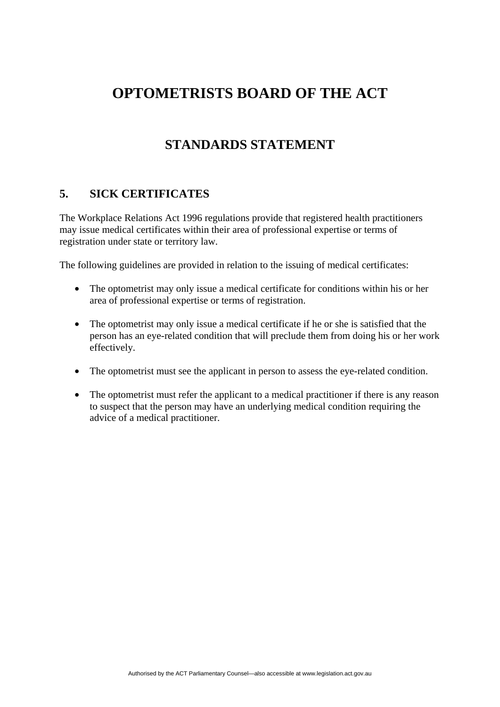## **STANDARDS STATEMENT**

### **5. SICK CERTIFICATES**

The Workplace Relations Act 1996 regulations provide that registered health practitioners may issue medical certificates within their area of professional expertise or terms of registration under state or territory law.

The following guidelines are provided in relation to the issuing of medical certificates:

- The optometrist may only issue a medical certificate for conditions within his or her area of professional expertise or terms of registration.
- The optometrist may only issue a medical certificate if he or she is satisfied that the person has an eye-related condition that will preclude them from doing his or her work effectively.
- The optometrist must see the applicant in person to assess the eye-related condition.
- The optometrist must refer the applicant to a medical practitioner if there is any reason to suspect that the person may have an underlying medical condition requiring the advice of a medical practitioner.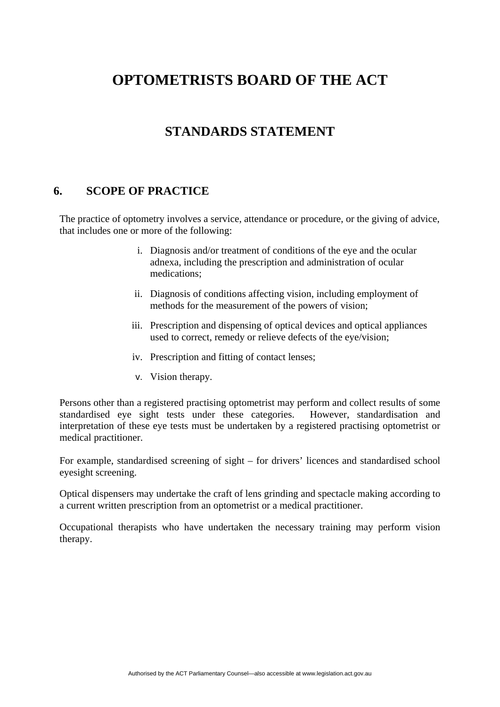## **STANDARDS STATEMENT**

### **6. SCOPE OF PRACTICE**

The practice of optometry involves a service, attendance or procedure, or the giving of advice, that includes one or more of the following:

- i. Diagnosis and/or treatment of conditions of the eye and the ocular adnexa, including the prescription and administration of ocular medications;
- ii. Diagnosis of conditions affecting vision, including employment of methods for the measurement of the powers of vision;
- iii. Prescription and dispensing of optical devices and optical appliances used to correct, remedy or relieve defects of the eye/vision;
- iv. Prescription and fitting of contact lenses;
- v. Vision therapy.

Persons other than a registered practising optometrist may perform and collect results of some standardised eye sight tests under these categories. However, standardisation and interpretation of these eye tests must be undertaken by a registered practising optometrist or medical practitioner.

For example, standardised screening of sight – for drivers' licences and standardised school eyesight screening.

Optical dispensers may undertake the craft of lens grinding and spectacle making according to a current written prescription from an optometrist or a medical practitioner.

Occupational therapists who have undertaken the necessary training may perform vision therapy.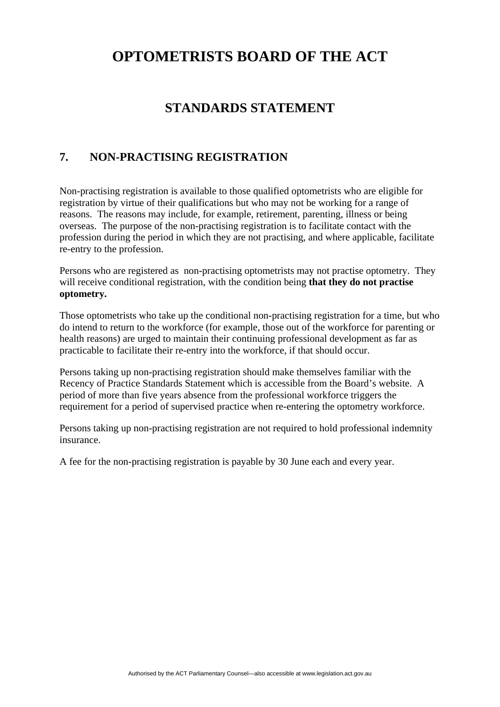## **STANDARDS STATEMENT**

### **7. NON-PRACTISING REGISTRATION**

Non-practising registration is available to those qualified optometrists who are eligible for registration by virtue of their qualifications but who may not be working for a range of reasons. The reasons may include, for example, retirement, parenting, illness or being overseas. The purpose of the non-practising registration is to facilitate contact with the profession during the period in which they are not practising, and where applicable, facilitate re-entry to the profession.

Persons who are registered as non-practising optometrists may not practise optometry. They will receive conditional registration, with the condition being **that they do not practise optometry.** 

Those optometrists who take up the conditional non-practising registration for a time, but who do intend to return to the workforce (for example, those out of the workforce for parenting or health reasons) are urged to maintain their continuing professional development as far as practicable to facilitate their re-entry into the workforce, if that should occur.

Persons taking up non-practising registration should make themselves familiar with the Recency of Practice Standards Statement which is accessible from the Board's website. A period of more than five years absence from the professional workforce triggers the requirement for a period of supervised practice when re-entering the optometry workforce.

Persons taking up non-practising registration are not required to hold professional indemnity insurance.

A fee for the non-practising registration is payable by 30 June each and every year.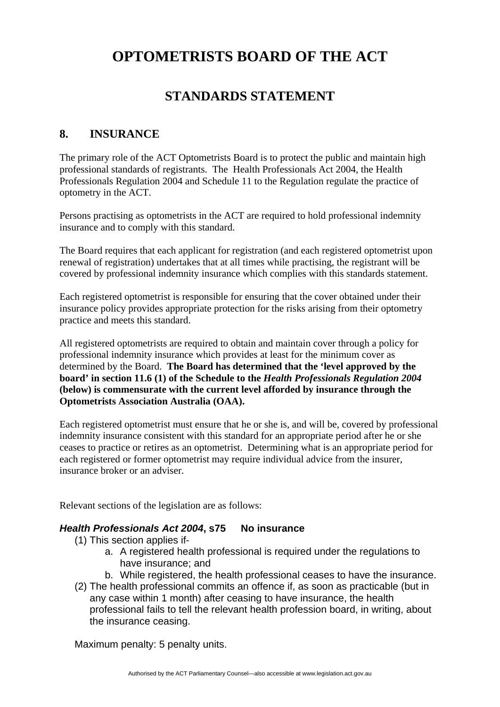## **STANDARDS STATEMENT**

### **8. INSURANCE**

The primary role of the ACT Optometrists Board is to protect the public and maintain high professional standards of registrants. The Health Professionals Act 2004, the Health Professionals Regulation 2004 and Schedule 11 to the Regulation regulate the practice of optometry in the ACT.

Persons practising as optometrists in the ACT are required to hold professional indemnity insurance and to comply with this standard.

The Board requires that each applicant for registration (and each registered optometrist upon renewal of registration) undertakes that at all times while practising, the registrant will be covered by professional indemnity insurance which complies with this standards statement.

Each registered optometrist is responsible for ensuring that the cover obtained under their insurance policy provides appropriate protection for the risks arising from their optometry practice and meets this standard.

All registered optometrists are required to obtain and maintain cover through a policy for professional indemnity insurance which provides at least for the minimum cover as determined by the Board. **The Board has determined that the 'level approved by the board' in section 11.6 (1) of the Schedule to the** *Health Professionals Regulation 2004* **(below) is commensurate with the current level afforded by insurance through the Optometrists Association Australia (OAA).** 

Each registered optometrist must ensure that he or she is, and will be, covered by professional indemnity insurance consistent with this standard for an appropriate period after he or she ceases to practice or retires as an optometrist. Determining what is an appropriate period for each registered or former optometrist may require individual advice from the insurer, insurance broker or an adviser.

Relevant sections of the legislation are as follows:

### *Health Professionals Act 2004***, s75 No insurance**

- (1) This section applies if
	- a. A registered health professional is required under the regulations to have insurance; and
	- b. While registered, the health professional ceases to have the insurance.
- (2) The health professional commits an offence if, as soon as practicable (but in any case within 1 month) after ceasing to have insurance, the health professional fails to tell the relevant health profession board, in writing, about the insurance ceasing.

Maximum penalty: 5 penalty units.